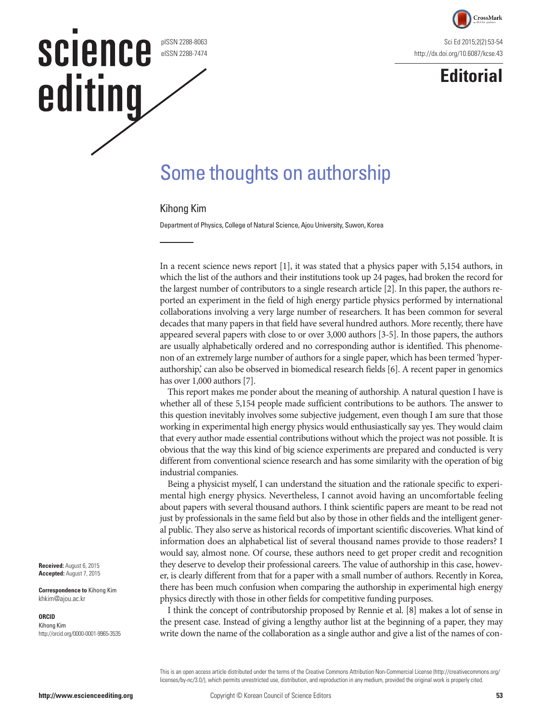

**Editorial**

#### pISSN 2288-8063 eISSN 2288-7474

**SCIENCE** 

editing

# Some thoughts on authorship

### Kihong Kim

Department of Physics, College of Natural Science, Ajou University, Suwon, Korea

In a recent science news report [1], it was stated that a physics paper with 5,154 authors, in which the list of the authors and their institutions took up 24 pages, had broken the record for the largest number of contributors to a single research article [2]. In this paper, the authors reported an experiment in the field of high energy particle physics performed by international collaborations involving a very large number of researchers. It has been common for several decades that many papers in that field have several hundred authors. More recently, there have appeared several papers with close to or over 3,000 authors [3-5]. In those papers, the authors are usually alphabetically ordered and no corresponding author is identified. This phenomenon of an extremely large number of authors for a single paper, which has been termed 'hyperauthorship,' can also be observed in biomedical research fields [6]. A recent paper in genomics has over 1,000 authors [7].

This report makes me ponder about the meaning of authorship. A natural question I have is whether all of these 5,154 people made sufficient contributions to be authors. The answer to this question inevitably involves some subjective judgement, even though I am sure that those working in experimental high energy physics would enthusiastically say yes. They would claim that every author made essential contributions without which the project was not possible. It is obvious that the way this kind of big science experiments are prepared and conducted is very different from conventional science research and has some similarity with the operation of big industrial companies.

Being a physicist myself, I can understand the situation and the rationale specific to experimental high energy physics. Nevertheless, I cannot avoid having an uncomfortable feeling about papers with several thousand authors. I think scientific papers are meant to be read not just by professionals in the same field but also by those in other fields and the intelligent general public. They also serve as historical records of important scientific discoveries. What kind of information does an alphabetical list of several thousand names provide to those readers? I would say, almost none. Of course, these authors need to get proper credit and recognition they deserve to develop their professional careers. The value of authorship in this case, however, is clearly different from that for a paper with a small number of authors. Recently in Korea, there has been much confusion when comparing the authorship in experimental high energy physics directly with those in other fields for competitive funding purposes.

I think the concept of contributorship proposed by Rennie et al. [8] makes a lot of sense in the present case. Instead of giving a lengthy author list at the beginning of a paper, they may write down the name of the collaboration as a single author and give a list of the names of con-

This is an open access article distributed under the terms of the Creative Commons Attribution Non-Commercial License ([http://creativecommons.org/](http://creativecommons.org/licenses/by-nc/3.0/) [licenses/by-nc/3.0/](http://creativecommons.org/licenses/by-nc/3.0/)), which permits unrestricted use, distribution, and reproduction in any medium, provided the original work is properly cited.

**Received:** August 6, 2015 **Accepted:** August 7, 2015

**Correspondence to** Kihong Kim khkim@ajou.ac.kr

#### **ORCID**

Kihong Kim http://orcid.org/0000-0001-9965-3535